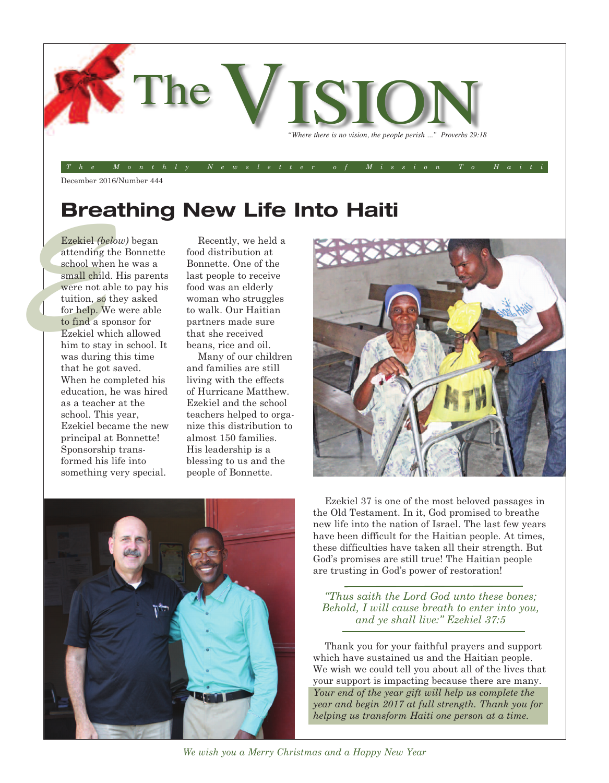

December 2016/Number 444

## **Breathing New Life Into Haiti**

Ezekiel (belc<br>
attending th<br>
school when<br>
small child.<br>
were not abl<br>
tuition, so th<br>
for help. We<br>
to find a spo Ezekiel *(below)* began attending the Bonnette school when he was a small child. His parents were not able to pay his tuition, so they asked for help. We were able to find a sponsor for Ezekiel which allowed him to stay in school. It was during this time that he got saved. When he completed his education, he was hired as a teacher at the school. This year, Ezekiel became the new principal at Bonnette! Sponsorship transformed his life into something very special.

Recently, we held a food distribution at Bonnette. One of the last people to receive food was an elderly woman who struggles to walk. Our Haitian partners made sure that she received beans, rice and oil.

Many of our children and families are still living with the effects of Hurricane Matthew. Ezekiel and the school teachers helped to organize this distribution to almost 150 families. His leadership is a blessing to us and the people of Bonnette.





Ezekiel 37 is one of the most beloved passages in the Old Testament. In it, God promised to breathe new life into the nation of Israel. The last few years have been difficult for the Haitian people. At times, these difficulties have taken all their strength. But God's promises are still true! The Haitian people are trusting in God's power of restoration!

*"Thus saith the Lord God unto these bones; Behold, I will cause breath to enter into you, and ye shall live:" Ezekiel 37:5*

Thank you for your faithful prayers and support which have sustained us and the Haitian people. We wish we could tell you about all of the lives that your support is impacting because there are many. *Your end of the year gift will help us complete the year and begin 2017 at full strength. Thank you for helping us transform Haiti one person at a time.*

*We wish you a Merry Christmas and a Happy New Year*